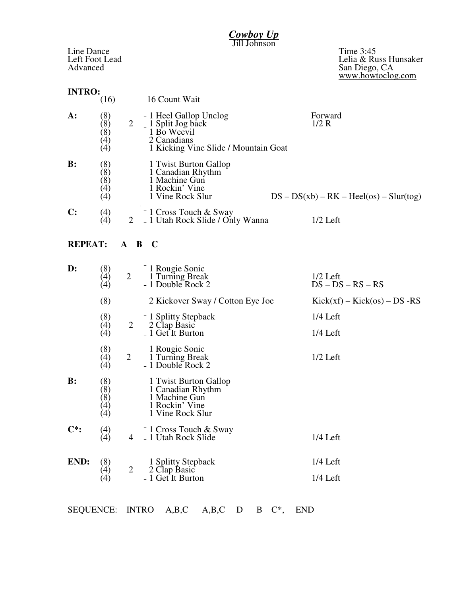| Cowboy Up                                |                                               |                |                                                                                                                           |                                                                          |  |  |  |  |  |  |  |
|------------------------------------------|-----------------------------------------------|----------------|---------------------------------------------------------------------------------------------------------------------------|--------------------------------------------------------------------------|--|--|--|--|--|--|--|
| Line Dance<br>Left Foot Lead<br>Advanced |                                               |                | Jonnson                                                                                                                   | Time 3:45<br>Lelia & Russ Hunsaker<br>San Diego, CA<br>www.howtoclog.com |  |  |  |  |  |  |  |
| <b>INTRO:</b>                            | (16)                                          |                | 16 Count Wait                                                                                                             |                                                                          |  |  |  |  |  |  |  |
| A:                                       | (8)<br>(8)<br>(8)<br>(4)<br>$\left( 4\right)$ | $\overline{2}$ | $\Gamma$ 1 Heel Gallop Unclog<br>  1 Split Jog back<br>1 Bo Weevil<br>2 Canadians<br>1 Kicking Vine Slide / Mountain Goat | Forward<br>1/2 R                                                         |  |  |  |  |  |  |  |
| $\mathbf{B}$ :                           | (8)<br>(8)<br>(8)<br>$\left( 4\right)$<br>(4) |                | 1 Twist Burton Gallop<br>1 Canadian Rhythm<br>1 Machine Gun<br>1 Rockin' Vine<br>1 Vine Rock Slur                         | $DS - DS(xb) - RK - Heel(os) - Slur(tog)$                                |  |  |  |  |  |  |  |
| $\mathbf{C}$ :                           | (4)<br>$\lambda$                              | $\overline{2}$ | $\lceil 1$ Cross Touch & Sway<br>L 1 Utah Rock Slide / Only Wanna                                                         | $1/2$ Left                                                               |  |  |  |  |  |  |  |
| <b>REPEAT:</b>                           |                                               |                | A B C                                                                                                                     |                                                                          |  |  |  |  |  |  |  |
| $\mathbf{D}$ :                           | (8)<br>(4)<br>(4)                             | $\overline{2}$ | 1 Rougie Sonic<br>1 Turning Break<br>1 Double Rock 2                                                                      | $1/2$ Left<br>$DS - DS - RS - RS$                                        |  |  |  |  |  |  |  |
|                                          | (8)                                           |                | 2 Kickover Sway / Cotton Eye Joe                                                                                          | $Kick(xf) - Kick(\omega s) - DS - RS$                                    |  |  |  |  |  |  |  |
|                                          | (8)<br>(4)<br>(4)                             | 2              | 1 Splitty Stepback<br>2 Clap Basic<br>1 Get It Burton                                                                     | $1/4$ Left<br>$1/4$ Left                                                 |  |  |  |  |  |  |  |
|                                          | (8)<br>(4)<br>(4)                             | $\overline{c}$ | 1 Rougie Sonic<br>1 Turning Break<br>1 Double Rock 2                                                                      | $1/2$ Left                                                               |  |  |  |  |  |  |  |
| $\mathbf{B}$ :                           | (8)<br>(8)<br>(8)<br>(4)<br>(4)               |                | 1 Twist Burton Gallop<br>1 Canadian Rhythm<br>1 Machine Gun<br>1 Rockin' Vine<br>1 Vine Rock Slur                         |                                                                          |  |  |  |  |  |  |  |
| $\mathbf{C}^*$ :                         | (4)<br>(4)                                    | 4              | 1 Cross Touch & Sway<br>⊥ 1 Utah Rock Slide                                                                               | $1/4$ Left                                                               |  |  |  |  |  |  |  |
| END:                                     | (8)<br>(4)<br>(4)                             | $\overline{2}$ | 1 Splitty Stepback<br>2 Clap Basic<br>1 Get It Burton                                                                     | $1/4$ Left<br>1/4 Left                                                   |  |  |  |  |  |  |  |
| <b>SEQUENCE:</b>                         |                                               |                | <b>INTRO</b><br>A,B,C<br>A,B,C<br><b>END</b><br>$\mathbb{C}^*$<br>D<br>B                                                  |                                                                          |  |  |  |  |  |  |  |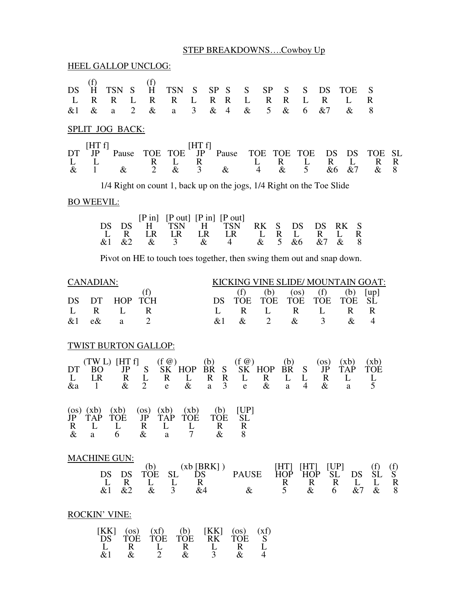## STEP BREAKDOWNS….Cowboy Up

HEEL GALLOP UNCLOG:

| DS<br>L<br>&1                                                                                                                                                                                                                                                                                                                                                                    | (f)<br>Ĥ<br>$\mathbf R$<br>$\&$            | <b>TSN</b><br>$\mathbf R$<br>$\mathbf{a}$                         | S<br>L<br>$\overline{2}$ | (f)<br>H<br>$\mathbf R$<br>$\&$   | <b>TSN</b><br>$\mathbf R$<br>$\rm{a}$      | S<br>L<br>3           | SP<br>$\mathbf{R}$<br>$\&$               | S<br>$\mathbf R$<br>$\overline{4}$ | S<br>L<br>$\&$                 | <b>SP</b><br>$\mathbf R$<br>$5\overline{)}$ | S<br>$\mathbf R$<br>$\&$          | S<br>L<br>6          | DS<br>$\mathbf R$<br>&7    | <b>TOE</b><br>L<br>$\&$             | S<br>$\mathbf R$<br>8             |                     |
|----------------------------------------------------------------------------------------------------------------------------------------------------------------------------------------------------------------------------------------------------------------------------------------------------------------------------------------------------------------------------------|--------------------------------------------|-------------------------------------------------------------------|--------------------------|-----------------------------------|--------------------------------------------|-----------------------|------------------------------------------|------------------------------------|--------------------------------|---------------------------------------------|-----------------------------------|----------------------|----------------------------|-------------------------------------|-----------------------------------|---------------------|
|                                                                                                                                                                                                                                                                                                                                                                                  |                                            | <b>SPLIT JOG BACK:</b>                                            |                          |                                   |                                            |                       |                                          |                                    |                                |                                             |                                   |                      |                            |                                     |                                   |                     |
| DT<br>L<br>$\&$                                                                                                                                                                                                                                                                                                                                                                  | [HT f]<br>JP<br>L<br>$\mathbf{1}$          | Pause<br>$\&$                                                     |                          | <b>TOE</b><br>R<br>$\overline{2}$ | <b>TOE</b><br>L<br>$\&$                    | [HTf]<br>JP<br>R<br>3 |                                          | Pause<br>$\&$                      | <b>TOE</b><br>L                | $\overline{4}$                              | <b>TOE</b><br>R<br>$\&$           | <b>TOE</b><br>L<br>5 | DS<br>$\mathbf{R}$<br>&6   | DS<br>L<br>&7                       | TOE<br>R<br>&                     | <b>SL</b><br>R<br>8 |
| 1/4 Right on count 1, back up on the jogs, 1/4 Right on the Toe Slide                                                                                                                                                                                                                                                                                                            |                                            |                                                                   |                          |                                   |                                            |                       |                                          |                                    |                                |                                             |                                   |                      |                            |                                     |                                   |                     |
|                                                                                                                                                                                                                                                                                                                                                                                  | <b>BO WEEVIL:</b>                          |                                                                   |                          |                                   |                                            |                       |                                          |                                    |                                |                                             |                                   |                      |                            |                                     |                                   |                     |
| $[P \text{ out}]$ $[P \text{ in}]$ $[P \text{ out}]$<br>$[P \text{ in}]$<br>DS<br>DS<br>RK<br>S<br>DS<br>RK<br>S<br>DS<br>TSN<br>H<br>TSN<br>H<br>$\mathbf R$<br>L<br>L<br>$\mathbf R$<br>LR<br>LR<br>LR<br>LR<br>L<br>$\mathbf{R}$<br>L<br>R<br>5<br>&1<br>&2<br>$\&$<br>3<br>&<br>&6<br>&7<br>$\&$<br>8<br>&<br>4                                                              |                                            |                                                                   |                          |                                   |                                            |                       |                                          |                                    |                                |                                             |                                   |                      |                            |                                     |                                   |                     |
| Pivot on HE to touch toes together, then swing them out and snap down.                                                                                                                                                                                                                                                                                                           |                                            |                                                                   |                          |                                   |                                            |                       |                                          |                                    |                                |                                             |                                   |                      |                            |                                     |                                   |                     |
| <b>CANADIAN:</b><br>KICKING VINE SLIDE/ MOUNTAIN GOAT:<br>(f)<br>(f)<br>(b)<br>(b)<br>$($ os $)$<br>(f)<br>[up]<br>DS<br>DT<br><b>HOP</b><br><b>TCH</b><br><b>TOE</b><br><b>TOE</b><br><b>TOE</b><br><b>TOE</b><br><b>TOE</b><br>SĹ<br>DS                                                                                                                                        |                                            |                                                                   |                          |                                   |                                            |                       |                                          |                                    |                                |                                             |                                   |                      |                            |                                     |                                   |                     |
| L<br>&1                                                                                                                                                                                                                                                                                                                                                                          | $\mathbf R$<br>e&                          | L<br>$\rm{a}$                                                     |                          | $\mathbf R$<br>$\overline{2}$     |                                            |                       | L<br>&1                                  |                                    | $\mathbf R$<br>$\&$            | L<br>$\overline{2}$                         | $\mathbf R$<br>$\&$               |                      | L<br>3                     | $\mathbf R$<br>$\&$                 | $\mathbf R$<br>$\overline{4}$     |                     |
| <b>TWIST BURTON GALLOP:</b>                                                                                                                                                                                                                                                                                                                                                      |                                            |                                                                   |                          |                                   |                                            |                       |                                          |                                    |                                |                                             |                                   |                      |                            |                                     |                                   |                     |
| DT<br>L<br>&a                                                                                                                                                                                                                                                                                                                                                                    | <sub>BO</sub><br><b>LR</b><br>$\mathbf{1}$ | $(TW L)$ [HT f]                                                   | JP<br>R<br>$\&$          | S<br>L<br>$\overline{2}$          | $(f \omega)$<br>$SK$ HOP<br>R<br>${\bf e}$ | L<br>$\&$             | (b)<br><b>BR</b><br>R<br>a               | S<br>$\mathbf R$<br>3              | $(f \omega)$<br>L<br>${\bf e}$ | $SK$ HOP<br>R<br>$\&$                       | (b)<br><b>BR</b><br>L<br>$\rm{a}$ | S<br>L<br>4          | $($ os $)$<br>JP<br>R<br>& | (xb)<br><b>TAP</b><br>L<br>$\rm{a}$ | (xb)<br><b>TOE</b><br>$rac{L}{5}$ |                     |
| JP<br>R<br>$\&$                                                                                                                                                                                                                                                                                                                                                                  | <b>TAP</b><br>L<br>a                       | $(os)$ $(xb)$ $(xb)$ $(os)$ $(xb)$ $(xb)$<br><b>TOE</b><br>L<br>6 |                          | JP<br>R<br>$\&$                   | <b>TAP</b><br>L<br>a                       | <b>TOE</b><br>L<br>7  | (b)<br><b>TOE</b><br>$\mathbf R$<br>$\&$ |                                    | [UP]<br>SL<br>R<br>8           |                                             |                                   |                      |                            |                                     |                                   |                     |
| <b>MACHINE GUN:</b><br>(xb [BRK])<br>[UP]<br>(b)<br>[HT]<br>[HT]<br>(f)<br>$\frac{f}{S}$<br>ŠĹ<br><b>PAUSE</b><br>DS<br><b>TOE</b><br><b>SL</b><br><b>HOP</b><br><b>HOP</b><br><b>SL</b><br>DS<br>DS<br>DS<br>L<br>$\mathbf R$<br>$\mathbf R$<br>$\mathbf R$<br>L<br>L<br>L<br>R<br>$\mathbf R$<br>L<br>3<br>$\&$<br>&1<br>&2<br>&4<br>5<br>&7<br>8<br>$\&$<br>$\&$<br>6<br>$\&$ |                                            |                                                                   |                          |                                   |                                            |                       |                                          |                                    |                                |                                             |                                   |                      |                            |                                     |                                   |                     |
| <b>ROCKIN' VINE:</b>                                                                                                                                                                                                                                                                                                                                                             |                                            |                                                                   |                          |                                   |                                            |                       |                                          |                                    |                                |                                             |                                   |                      |                            |                                     |                                   |                     |
| [KK]<br>(xf)<br>(b)<br>[KK]<br>(xf)<br>(OS)<br>$($ os $)$<br>RK<br><b>TOE</b><br>DS<br><b>TOE</b><br><b>TOE</b><br><b>TOE</b><br>S<br>L<br>$\mathbb{R}$<br>L<br>L<br>$\mathbf R$<br>L<br>$\mathbf R$                                                                                                                                                                             |                                            |                                                                   |                          |                                   |                                            |                       |                                          |                                    |                                |                                             |                                   |                      |                            |                                     |                                   |                     |

&1 & 2 & 3 & 4